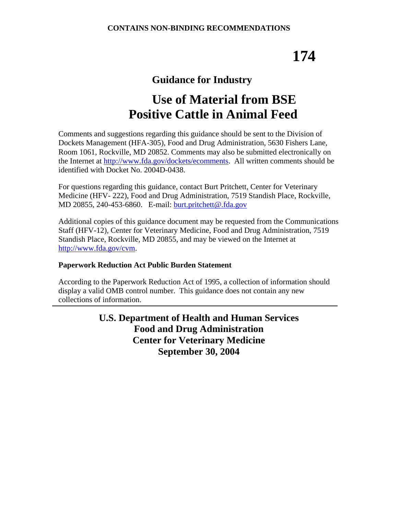# **174**

### **Guidance for Industry**

## **Use of Material from BSE Positive Cattle in Animal Feed**

Comments and suggestions regarding this guidance should be sent to the Division of Dockets Management (HFA-305), Food and Drug Administration, 5630 Fishers Lane, Room 1061, Rockville, MD 20852. Comments may also be submitted electronically on the Internet at [http://www.fda.gov/dockets/ecomments.](http://www.fda.gov/dockets/ecomments) All written comments should be identified with Docket No. 2004D-0438.

For questions regarding this guidance, contact Burt Pritchett, Center for Veterinary Medicine (HFV- 222), Food and Drug Administration, 7519 Standish Place, Rockville, MD 20855, 240-453-6860. E-mail: [burt.pritchett@.fda.gov](mailto:burt.prichett@fda.gov)

Additional copies of this guidance document may be requested from the Communications Staff (HFV-12), Center for Veterinary Medicine, Food and Drug Administration, 7519 Standish Place, Rockville, MD 20855, and may be viewed on the Internet at [http://www.fda.gov/cvm.](http://www.fda.gov/cvm)

#### **Paperwork Reduction Act Public Burden Statement**

According to the Paperwork Reduction Act of 1995, a collection of information should display a valid OMB control number. This guidance does not contain any new collections of information.

> **U.S. Department of Health and Human Services Food and Drug Administration Center for Veterinary Medicine September 30, 2004**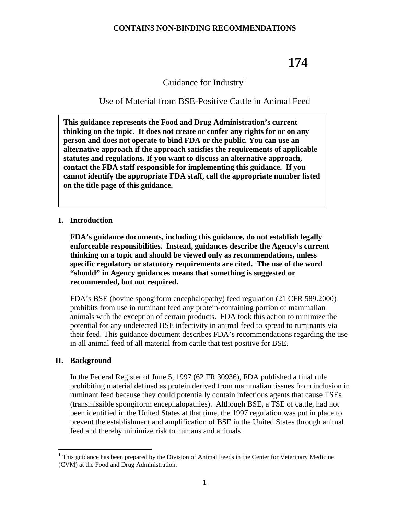### **174**

#### Guidance for Industry<sup>1</sup>

#### Use of Material from BSE-Positive Cattle in Animal Feed

**This guidance represents the Food and Drug Administration's current thinking on the topic. It does not create or confer any rights for or on any person and does not operate to bind FDA or the public. You can use an alternative approach if the approach satisfies the requirements of applicable statutes and regulations. If you want to discuss an alternative approach, contact the FDA staff responsible for implementing this guidance. If you cannot identify the appropriate FDA staff, call the appropriate number listed on the title page of this guidance.** 

#### **I. Introduction**

**FDA's guidance documents, including this guidance, do not establish legally enforceable responsibilities. Instead, guidances describe the Agency's current thinking on a topic and should be viewed only as recommendations, unless specific regulatory or statutory requirements are cited. The use of the word "should" in Agency guidances means that something is suggested or recommended, but not required.**

FDA's BSE (bovine spongiform encephalopathy) feed regulation (21 CFR 589.2000) prohibits from use in ruminant feed any protein-containing portion of mammalian animals with the exception of certain products. FDA took this action to minimize the potential for any undetected BSE infectivity in animal feed to spread to ruminants via their feed. This guidance document describes FDA's recommendations regarding the use in all animal feed of all material from cattle that test positive for BSE.

#### **II. Background**

 $\overline{a}$ 

In the Federal Register of June 5, 1997 (62 FR 30936), FDA published a final rule prohibiting material defined as protein derived from mammalian tissues from inclusion in ruminant feed because they could potentially contain infectious agents that cause TSEs (transmissible spongiform encephalopathies). Although BSE, a TSE of cattle, had not been identified in the United States at that time, the 1997 regulation was put in place to prevent the establishment and amplification of BSE in the United States through animal feed and thereby minimize risk to humans and animals.

<sup>1</sup> This guidance has been prepared by the Division of Animal Feeds in the Center for Veterinary Medicine (CVM) at the Food and Drug Administration.